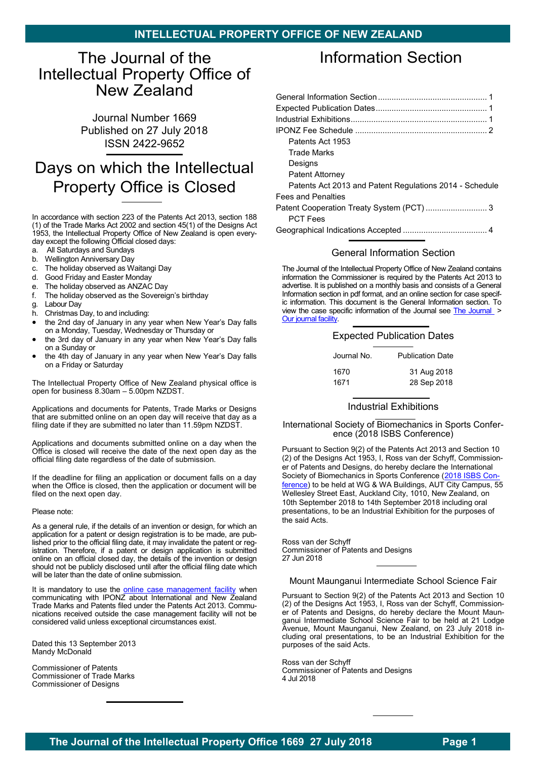# <span id="page-0-1"></span><span id="page-0-0"></span>The Journal of the Intellectual Property Office of New Zealand

Journal Number 1669 Published on 27 July 2018 ISSN 2422-9652

# Days on which the Intellectual Property Office is Closed

In accordance with section 223 of the Patents Act 2013, section 188 (1) of the Trade Marks Act 2002 and section 45(1) of the Designs Act 1953, the Intellectual Property Office of New Zealand is open everyday except the following Official closed days:

- a. All Saturdays and Sundays
- b. Wellington Anniversary Day
- c. The holiday observed as Waitangi Day
- d. Good Friday and Easter Monday
- e. The holiday observed as ANZAC Day
- f. The holiday observed as the Sovereign's birthday
- g. Labour Day
- h. Christmas Day, to and including:
- the 2nd day of January in any year when New Year's Day falls on a Monday, Tuesday, Wednesday or Thursday or
- the 3rd day of January in any year when New Year's Day falls on a Sunday or
- the 4th day of January in any year when New Year's Day falls on a Friday or Saturday

The Intellectual Property Office of New Zealand physical office is open for business 8.30am – 5.00pm NZDST.

Applications and documents for Patents, Trade Marks or Designs that are submitted online on an open day will receive that day as a filing date if they are submitted no later than 11.59pm NZDST.

Applications and documents submitted online on a day when the Office is closed will receive the date of the next open day as the official filing date regardless of the date of submission.

If the deadline for filing an application or document falls on a day when the Office is closed, then the application or document will be filed on the next open day.

#### Please note:

As a general rule, if the details of an invention or design, for which an application for a patent or design registration is to be made, are published prior to the official filing date, it may invalidate the patent or registration. Therefore, if a patent or design application is submitted online on an official closed day, the details of the invention or design should not be publicly disclosed until after the official filing date which will be later than the date of online submission.

It is mandatory to use the [online case management facility](https://www.iponz.govt.nz/manage-ip/) when communicating with IPONZ about International and New Zealand Trade Marks and Patents filed under the Patents Act 2013. Communications received outside the case management facility will not be considered valid unless exceptional circumstances exist.

Dated this 13 September 2013 Mandy McDonald

Commissioner of Patents Commissioner of Trade Marks Commissioner of Designs

# Information Section

| Patents Act 1953                                        |
|---------------------------------------------------------|
| <b>Trade Marks</b>                                      |
| Designs                                                 |
| <b>Patent Attorney</b>                                  |
| Patents Act 2013 and Patent Regulations 2014 - Schedule |
| <b>Fees and Penalties</b>                               |
| Patent Cooperation Treaty System (PCT) 3                |
| <b>PCT Fees</b>                                         |
| Coographical Indications Accorded                       |

[Geographical Indications Accepted](#page-3-0) ..................................... 4

#### [General Information Section](#page-0-0)

The Journal of the Intellectual Property Office of New Zealand contains information the Commissioner is required by the Patents Act 2013 to advertise. It is published on a monthly basis and consists of a General Information section in pdf format, and an online section for case specific information. This document is the General Information section. To view the case specific information of the Journal see [The Journal](https://www.iponz.govt.nz/about-iponz/the-journal/) > [Our journal facility.](http://app.iponz.govt.nz/app/Extra/Default.aspx?op=EXTRA_Activity_qbe&fcoOp=EXTRA__Default)

#### [Expected Publication Dates](#page-0-0)

| Journal No. | <b>Publication Date</b> |
|-------------|-------------------------|
| 1670        | 31 Aug 2018             |
| 1671        | 28 Sep 2018             |

### [Industrial Exhibitions](#page-0-0)

#### International Society of Biomechanics in Sports Conference [\(2018 ISBS Conference\)](https://isbs.org/isbs-2018)

Pursuant to Section 9(2) of the Patents Act 2013 and Section 10 (2) of the Designs Act 1953, I, Ross van der Schyff, Commissioner of Patents and Designs, do hereby declare the International Society of Biomechanics in Sports Conference ([2018 ISBS Con](https://isbs.org/isbs-2018)[ference\)](https://isbs.org/isbs-2018) to be held at WG & WA Buildings, AUT City Campus, 55 Wellesley Street East, Auckland City, 1010, New Zealand, on 10th September 2018 to 14th September 2018 including oral presentations, to be an Industrial Exhibition for the purposes of the said Acts.

Ross van der Schyff Commissioner of Patents and Designs 27 Jun 2018

Mount Maunganui Intermediate School Science Fair

Pursuant to Section 9(2) of the Patents Act 2013 and Section 10 (2) of the Designs Act 1953, I, Ross van der Schyff, Commissioner of Patents and Designs, do hereby declare the Mount Maunganui Intermediate School Science Fair to be held at 21 Lodge Avenue, Mount Maunganui, New Zealand, on 23 July 2018 including oral presentations, to be an Industrial Exhibition for the purposes of the said Acts.

Ross van der Schyff Commissioner of Patents and Designs 4 Jul 2018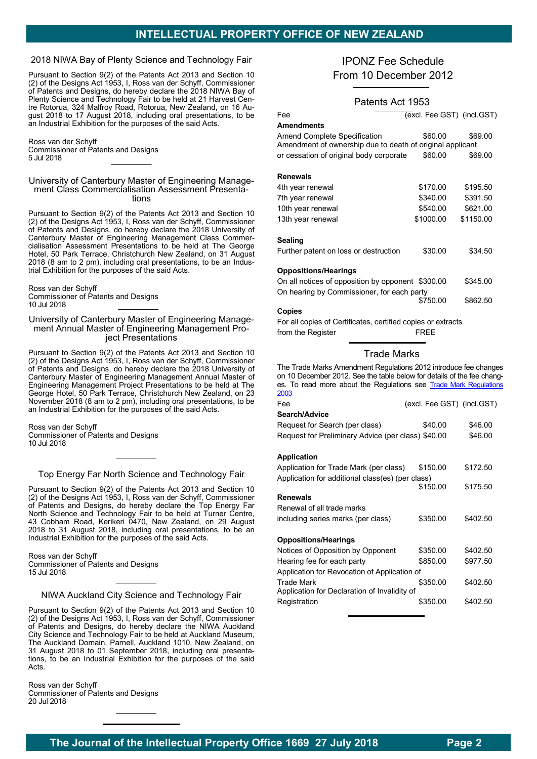# **INTELLECTUAL PROPERTY OFFICE OF NEW ZEALAND**

# <span id="page-1-0"></span>2018 NIWA Bay of Plenty Science and Technology Fair

Pursuant to Section 9(2) of the Patents Act 2013 and Section 10 (2) of the Designs Act 1953, I, Ross van der Schyff, Commissioner of Patents and Designs, do hereby declare the 2018 NIWA Bay of Plenty Science and Technology Fair to be held at 21 Harvest Centre Rotorua, 324 Malfroy Road, Rotorua, New Zealand, on 16 August 2018 to 17 August 2018, including oral presentations, to be an Industrial Exhibition for the purposes of the said Acts.

Ross van der Schyff Commissioner of Patents and Designs 5 Jul 2018

#### University of Canterbury Master of Engineering Management Class Commercialisation Assessment Presentations

Pursuant to Section 9(2) of the Patents Act 2013 and Section 10 (2) of the Designs Act 1953, I, Ross van der Schyff, Commissioner of Patents and Designs, do hereby declare the 2018 University of Canterbury Master of Engineering Management Class Commercialisation Assessment Presentations to be held at The George Hotel, 50 Park Terrace, Christchurch New Zealand, on 31 August 2018 (8 am to 2 pm), including oral presentations, to be an Industrial Exhibition for the purposes of the said Acts.

Ross van der Schyff Commissioner of Patents and Designs 10 Jul 2018

#### University of Canterbury Master of Engineering Management Annual Master of Engineering Management Project Presentations

Pursuant to Section 9(2) of the Patents Act 2013 and Section 10 (2) of the Designs Act 1953, I, Ross van der Schyff, Commissioner of Patents and Designs, do hereby declare the 2018 University of Canterbury Master of Engineering Management Annual Master of Engineering Management Project Presentations to be held at The George Hotel, 50 Park Terrace, Christchurch New Zealand, on 23 November 2018 (8 am to 2 pm), including oral presentations, to be an Industrial Exhibition for the purposes of the said Acts.

Ross van der Schyff Commissioner of Patents and Designs 10 Jul 2018

#### Top Energy Far North Science and Technology Fair

Pursuant to Section 9(2) of the Patents Act 2013 and Section 10 (2) of the Designs Act 1953, I, Ross van der Schyff, Commissioner of Patents and Designs, do hereby declare the Top Energy Far North Science and Technology Fair to be held at Turner Centre, 43 Cobham Road, Kerikeri 0470, New Zealand, on 29 August 2018 to 31 August 2018, including oral presentations, to be an Industrial Exhibition for the purposes of the said Acts.

Ross van der Schyff Commissioner of Patents and Designs 15 Jul 2018

#### NIWA Auckland City Science and Technology Fair

Pursuant to Section 9(2) of the Patents Act 2013 and Section 10 (2) of the Designs Act 1953, I, Ross van der Schyff, Commissioner of Patents and Designs, do hereby declare the NIWA Auckland City Science and Technology Fair to be held at Auckland Museum, The Auckland Domain, Parnell, Auckland 1010, New Zealand, on 31 August 2018 to 01 September 2018, including oral presentations, to be an Industrial Exhibition for the purposes of the said Acts.

Ross van der Schyff Commissioner of Patents and Designs 20 Jul 2018

# IPONZ Fee Schedule [From 10 December 2012](#page-1-0)

# Patents Act 1953

| Fee                                                       | (excl. Fee GST) (incl.GST) |           |
|-----------------------------------------------------------|----------------------------|-----------|
| <b>Amendments</b>                                         |                            |           |
| Amend Complete Specification                              | \$60.00                    | \$69.00   |
| Amendment of ownership due to death of original applicant |                            |           |
| or cessation of original body corporate                   | \$60.00                    | \$69.00   |
|                                                           |                            |           |
| <b>Renewals</b>                                           |                            |           |
| 4th year renewal                                          | \$170.00                   | \$195.50  |
| 7th year renewal                                          | \$340.00                   | \$391.50  |
| 10th year renewal                                         | \$540.00                   | \$621.00  |
| 13th year renewal                                         | \$1000.00                  | \$1150.00 |
|                                                           |                            |           |
| Sealing                                                   |                            |           |
| Further patent on loss or destruction                     | \$30.00                    | \$34.50   |
| <b>Oppositions/Hearings</b>                               |                            |           |
| On all notices of opposition by opponent \$300.00         |                            | \$345.00  |
| On hearing by Commissioner, for each party                |                            |           |

\$750.00 \$862.50 **Copies**

For all copies of Certificates, certified copies or extracts from the Register **FREE** 

# Trade Marks

The Trade Marks Amendment Regulations 2012 introduce fee changes on 10 December 2012. See the table below for details of the fee changes. To read more about the Regulations see [Trade](http://www.legislation.govt.nz/regulation/public/2003/0187/latest/DLM200881.html?search=qs_act@bill@regulation@deemedreg_Trade%20mark%20regulations_resel_25_h&p=1&sr=1) Mark [Regulations](http://www.legislation.govt.nz/regulation/public/2003/0187/19.0/DLM200881.html) 2003

(excl. Fee GST) (incl.GST)

| -ее             |  |
|-----------------|--|
| Zaarah / Adviaa |  |

| Search/Advice                                      |          |          |
|----------------------------------------------------|----------|----------|
| Request for Search (per class)                     | \$40.00  | \$46.00  |
| Request for Preliminary Advice (per class) \$40.00 |          | \$46.00  |
|                                                    |          |          |
| <b>Application</b>                                 |          |          |
| Application for Trade Mark (per class)             | \$150.00 | \$172.50 |
| Application for additional class(es) (per class)   |          |          |
|                                                    | \$150.00 | \$175.50 |
| <b>Renewals</b>                                    |          |          |
| Renewal of all trade marks                         |          |          |
| including series marks (per class)                 | \$350.00 | \$402.50 |
|                                                    |          |          |
| <b>Oppositions/Hearings</b>                        |          |          |
| Notices of Opposition by Opponent                  | \$350.00 | \$402.50 |
| Hearing fee for each party                         | \$850.00 | \$977.50 |
| Application for Revocation of Application of       |          |          |
| <b>Trade Mark</b>                                  | \$350.00 | \$402.50 |
| Application for Declaration of Invalidity of       |          |          |
| Registration                                       | \$350.00 | \$402.50 |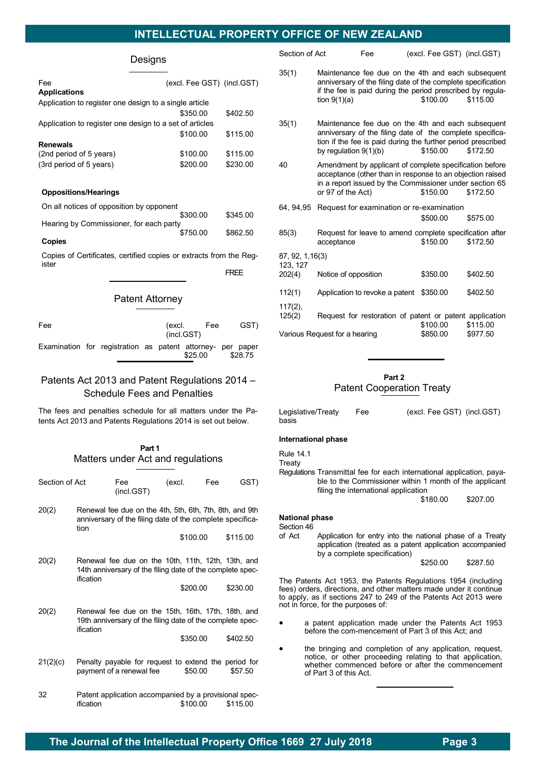# **INTELLECTUAL PROPERTY OFFICE OF NEW ZEALAND**

#### Designs

<span id="page-2-0"></span>

| Fee                                                     | (excl. Fee GST) (incl.GST) |          |
|---------------------------------------------------------|----------------------------|----------|
| <b>Applications</b>                                     |                            |          |
| Application to register one design to a single article  |                            |          |
|                                                         | \$350.00                   | \$402.50 |
| Application to register one design to a set of articles |                            |          |
|                                                         | \$100.00                   | \$115.00 |
| <b>Renewals</b>                                         |                            |          |
| (2nd period of 5 years)                                 | \$100.00                   | \$115.00 |
| (3rd period of 5 years)                                 | \$200.00                   | \$230.00 |
|                                                         |                            |          |

#### <span id="page-2-1"></span>**Oppositions/Hearings**

| On all notices of opposition by opponent |          |          |
|------------------------------------------|----------|----------|
|                                          | \$300.00 | \$345.00 |
| Hearing by Commissioner, for each party  |          |          |
|                                          | \$750.00 | \$862.50 |

**Copies**

Copies of Certificates, certified copies or extracts from the Register

FREE

#### Patent Attorney

| Fee                                                        | (excl. Fee<br>(incl.GST) |  |  | GST) |         |         |
|------------------------------------------------------------|--------------------------|--|--|------|---------|---------|
| Examination for registration as patent attorney- per paper |                          |  |  |      | \$25.00 | \$28.75 |

# Patents Act 2013 and Patent Regulations 2014 – Schedule Fees and Penalties

The fees and penalties schedule for all matters under the Patents Act 2013 and Patents Regulations 2014 is set out below.

### **Part 1** Matters under Act and regulations

| Section of Act |                                                                                                                              | Fee<br>(incl.GST)                                                                                               | (excl. |          | Fee | GST)     |
|----------------|------------------------------------------------------------------------------------------------------------------------------|-----------------------------------------------------------------------------------------------------------------|--------|----------|-----|----------|
| 20(2)          | Renewal fee due on the 4th, 5th, 6th, 7th, 8th, and 9th<br>anniversary of the filing date of the complete specifica-<br>tion |                                                                                                                 |        |          |     |          |
|                |                                                                                                                              |                                                                                                                 |        | \$100.00 |     | \$115.00 |
| 20(2)          | ification                                                                                                                    | Renewal fee due on the 10th, 11th, 12th, 13th, and<br>14th anniversary of the filing date of the complete spec- |        |          |     |          |
|                |                                                                                                                              |                                                                                                                 |        | \$200.00 |     | \$230.00 |
| 20(2)          | ification                                                                                                                    | Renewal fee due on the 15th, 16th, 17th, 18th, and<br>19th anniversary of the filing date of the complete spec- |        |          |     |          |
|                |                                                                                                                              |                                                                                                                 |        | \$350.00 |     | \$402.50 |
| 21(2)(c)       |                                                                                                                              | Penalty payable for request to extend the period for<br>payment of a renewal fee                                |        | \$50.00  |     | \$57.50  |
| 32             | ification                                                                                                                    | Patent application accompanied by a provisional spec-                                                           |        | \$100.00 |     | \$115.00 |

| Section of Act       |                               | Fee                            | (excl. Fee GST) (incl.GST)                                                                                                                                                                   |          |
|----------------------|-------------------------------|--------------------------------|----------------------------------------------------------------------------------------------------------------------------------------------------------------------------------------------|----------|
| 35(1)                | tion $9(1)(a)$                |                                | Maintenance fee due on the 4th and each subsequent<br>anniversary of the filing date of the complete specification<br>if the fee is paid during the period prescribed by regula-<br>\$100.00 | \$115.00 |
| 35(1)                | by regulation $9(1)(b)$       |                                | Maintenance fee due on the 4th and each subsequent<br>anniversary of the filing date of the complete specifica-<br>tion if the fee is paid during the further period prescribed<br>\$150.00  | \$172.50 |
| 40                   | or 97 of the Act)             |                                | Amendment by applicant of complete specification before<br>acceptance (other than in response to an objection raised<br>in a report issued by the Commissioner under section 65<br>\$150.00  | \$172.50 |
| 64.94.95             |                               |                                | Request for examination or re-examination                                                                                                                                                    |          |
|                      |                               |                                | \$500.00                                                                                                                                                                                     | \$575.00 |
| 85(3)                | acceptance                    |                                | Request for leave to amend complete specification after<br>\$150.00                                                                                                                          | \$172.50 |
| 87, 92, 1, 16(3)     |                               |                                |                                                                                                                                                                                              |          |
| 123, 127<br>202(4)   | Notice of opposition          |                                | \$350.00                                                                                                                                                                                     | \$402.50 |
| 112(1)               |                               | Application to revoke a patent | \$350.00                                                                                                                                                                                     | \$402.50 |
| $117(2)$ ,<br>125(2) |                               |                                | Request for restoration of patent or patent application<br>\$100.00                                                                                                                          | \$115.00 |
|                      | Various Request for a hearing |                                | \$850.00                                                                                                                                                                                     | \$977.50 |
|                      |                               |                                |                                                                                                                                                                                              |          |

### **Part 2** [Patent Cooperation Treaty](#page-2-1)

| Legislative/Treaty | Fee | (excl. Fee GST) (incl.GST) |  |
|--------------------|-----|----------------------------|--|
| basis              |     |                            |  |

#### **International phase**

Rule 14.1

**Treaty** 

Regulations Transmittal fee for each international application, payable to the Commissioner within 1 month of the applicant filing the international application

\$180.00 \$207.00

#### **National phase**

Section 46

of Act Application for entry into the national phase of a Treaty application (treated as a patent application accompanied by a complete specification)

\$250.00 \$287.50

The Patents Act 1953, the Patents Regulations 1954 (including fees) orders, directions, and other matters made under it continue to apply, as if sections 247 to 249 of the Patents Act 2013 were not in force, for the purposes of:

- a patent application made under the Patents Act 1953 before the com-mencement of Part 3 of this Act; and
- the bringing and completion of any application, request, notice, or other proceeding relating to that application, whether commenced before or after the commencement of Part 3 of this Act.